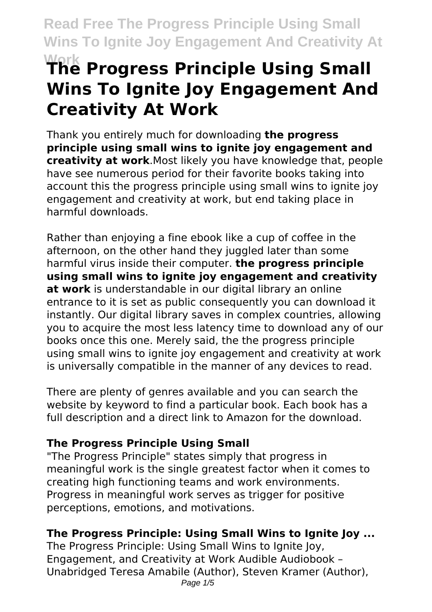# **Work The Progress Principle Using Small Wins To Ignite Joy Engagement And Creativity At Work**

Thank you entirely much for downloading **the progress principle using small wins to ignite joy engagement and creativity at work**.Most likely you have knowledge that, people have see numerous period for their favorite books taking into account this the progress principle using small wins to ignite joy engagement and creativity at work, but end taking place in harmful downloads.

Rather than enjoying a fine ebook like a cup of coffee in the afternoon, on the other hand they juggled later than some harmful virus inside their computer. **the progress principle using small wins to ignite joy engagement and creativity at work** is understandable in our digital library an online entrance to it is set as public consequently you can download it instantly. Our digital library saves in complex countries, allowing you to acquire the most less latency time to download any of our books once this one. Merely said, the the progress principle using small wins to ignite joy engagement and creativity at work is universally compatible in the manner of any devices to read.

There are plenty of genres available and you can search the website by keyword to find a particular book. Each book has a full description and a direct link to Amazon for the download.

# **The Progress Principle Using Small**

"The Progress Principle" states simply that progress in meaningful work is the single greatest factor when it comes to creating high functioning teams and work environments. Progress in meaningful work serves as trigger for positive perceptions, emotions, and motivations.

# **The Progress Principle: Using Small Wins to Ignite Joy ...**

The Progress Principle: Using Small Wins to Ignite Joy, Engagement, and Creativity at Work Audible Audiobook – Unabridged Teresa Amabile (Author), Steven Kramer (Author), Page  $1/5$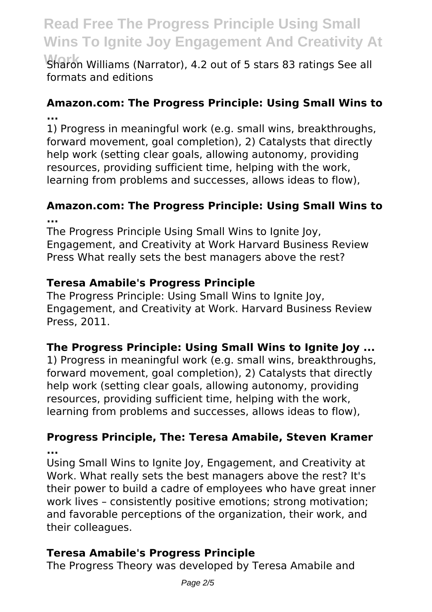Sharon Williams (Narrator), 4.2 out of 5 stars 83 ratings See all formats and editions

# **Amazon.com: The Progress Principle: Using Small Wins to ...**

1) Progress in meaningful work (e.g. small wins, breakthroughs, forward movement, goal completion), 2) Catalysts that directly help work (setting clear goals, allowing autonomy, providing resources, providing sufficient time, helping with the work, learning from problems and successes, allows ideas to flow),

#### **Amazon.com: The Progress Principle: Using Small Wins to ...**

The Progress Principle Using Small Wins to Ignite Joy, Engagement, and Creativity at Work Harvard Business Review Press What really sets the best managers above the rest?

# **Teresa Amabile's Progress Principle**

The Progress Principle: Using Small Wins to Ignite Joy, Engagement, and Creativity at Work. Harvard Business Review Press, 2011.

# **The Progress Principle: Using Small Wins to Ignite Joy ...**

1) Progress in meaningful work (e.g. small wins, breakthroughs, forward movement, goal completion), 2) Catalysts that directly help work (setting clear goals, allowing autonomy, providing resources, providing sufficient time, helping with the work, learning from problems and successes, allows ideas to flow),

#### **Progress Principle, The: Teresa Amabile, Steven Kramer ...**

Using Small Wins to Ignite Joy, Engagement, and Creativity at Work. What really sets the best managers above the rest? It's their power to build a cadre of employees who have great inner work lives – consistently positive emotions; strong motivation; and favorable perceptions of the organization, their work, and their colleagues.

# **Teresa Amabile's Progress Principle**

The Progress Theory was developed by Teresa Amabile and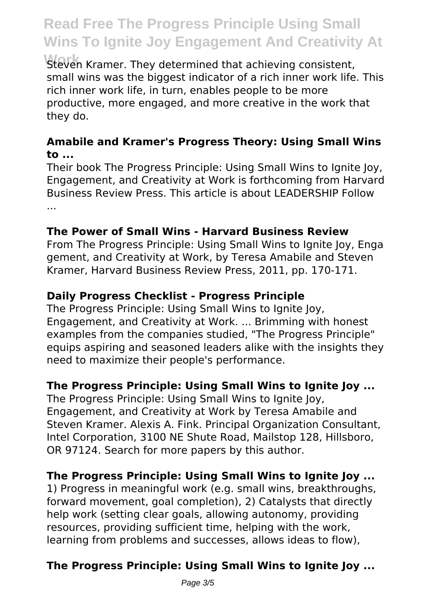**Work** Steven Kramer. They determined that achieving consistent, small wins was the biggest indicator of a rich inner work life. This rich inner work life, in turn, enables people to be more productive, more engaged, and more creative in the work that they do.

#### **Amabile and Kramer's Progress Theory: Using Small Wins to ...**

Their book The Progress Principle: Using Small Wins to Ignite Joy, Engagement, and Creativity at Work is forthcoming from Harvard Business Review Press. This article is about LEADERSHIP Follow ...

#### **The Power of Small Wins - Harvard Business Review**

From The Progress Principle: Using Small Wins to Ignite Joy, Enga gement, and Creativity at Work, by Teresa Amabile and Steven Kramer, Harvard Business Review Press, 2011, pp. 170‐171.

# **Daily Progress Checklist - Progress Principle**

The Progress Principle: Using Small Wins to Ignite Joy, Engagement, and Creativity at Work. ... Brimming with honest examples from the companies studied, "The Progress Principle" equips aspiring and seasoned leaders alike with the insights they need to maximize their people's performance.

# **The Progress Principle: Using Small Wins to Ignite Joy ...**

The Progress Principle: Using Small Wins to Ignite Joy, Engagement, and Creativity at Work by Teresa Amabile and Steven Kramer. Alexis A. Fink. Principal Organization Consultant, Intel Corporation, 3100 NE Shute Road, Mailstop 128, Hillsboro, OR 97124. Search for more papers by this author.

# **The Progress Principle: Using Small Wins to Ignite Joy ...**

1) Progress in meaningful work (e.g. small wins, breakthroughs, forward movement, goal completion), 2) Catalysts that directly help work (setting clear goals, allowing autonomy, providing resources, providing sufficient time, helping with the work, learning from problems and successes, allows ideas to flow),

# **The Progress Principle: Using Small Wins to Ignite Joy ...**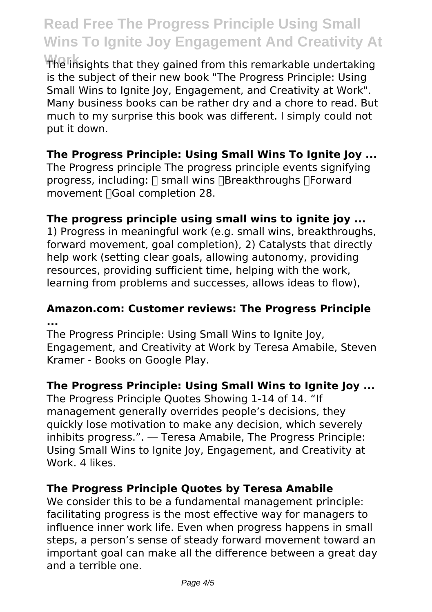**Work** The insights that they gained from this remarkable undertaking is the subject of their new book "The Progress Principle: Using Small Wins to Ignite Joy, Engagement, and Creativity at Work". Many business books can be rather dry and a chore to read. But much to my surprise this book was different. I simply could not put it down.

#### **The Progress Principle: Using Small Wins To Ignite Joy ...**

The Progress principle The progress principle events signifying progress, including:  $\Box$  small wins  $\Box$ Breakthroughs  $\Box$ Forward movement Goal completion 28.

#### **The progress principle using small wins to ignite joy ...**

1) Progress in meaningful work (e.g. small wins, breakthroughs, forward movement, goal completion), 2) Catalysts that directly help work (setting clear goals, allowing autonomy, providing resources, providing sufficient time, helping with the work, learning from problems and successes, allows ideas to flow),

#### **Amazon.com: Customer reviews: The Progress Principle ...**

The Progress Principle: Using Small Wins to Ignite Joy, Engagement, and Creativity at Work by Teresa Amabile, Steven Kramer - Books on Google Play.

#### **The Progress Principle: Using Small Wins to Ignite Joy ...**

The Progress Principle Quotes Showing 1-14 of 14. "If management generally overrides people's decisions, they quickly lose motivation to make any decision, which severely inhibits progress.". ― Teresa Amabile, The Progress Principle: Using Small Wins to Ignite Joy, Engagement, and Creativity at Work. 4 likes.

#### **The Progress Principle Quotes by Teresa Amabile**

We consider this to be a fundamental management principle: facilitating progress is the most effective way for managers to influence inner work life. Even when progress happens in small steps, a person's sense of steady forward movement toward an important goal can make all the difference between a great day and a terrible one.